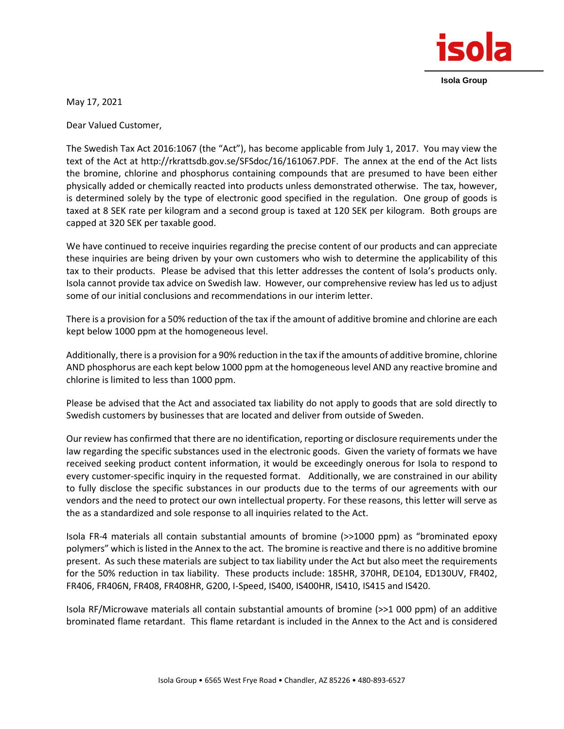

**Isola Group**

May 17, 2021

Dear Valued Customer,

The Swedish Tax Act 2016:1067 (the "Act"), has become applicable from July 1, 2017. You may view the text of the Act at http://rkrattsdb.gov.se/SFSdoc/16/161067.PDF. The annex at the end of the Act lists the bromine, chlorine and phosphorus containing compounds that are presumed to have been either physically added or chemically reacted into products unless demonstrated otherwise. The tax, however, is determined solely by the type of electronic good specified in the regulation. One group of goods is taxed at 8 SEK rate per kilogram and a second group is taxed at 120 SEK per kilogram. Both groups are capped at 320 SEK per taxable good.

We have continued to receive inquiries regarding the precise content of our products and can appreciate these inquiries are being driven by your own customers who wish to determine the applicability of this tax to their products. Please be advised that this letter addresses the content of Isola's products only. Isola cannot provide tax advice on Swedish law. However, our comprehensive review has led us to adjust some of our initial conclusions and recommendations in our interim letter.

There is a provision for a 50% reduction of the tax if the amount of additive bromine and chlorine are each kept below 1000 ppm at the homogeneous level.

Additionally, there is a provision for a 90% reduction in the tax if the amounts of additive bromine, chlorine AND phosphorus are each kept below 1000 ppm at the homogeneous level AND any reactive bromine and chlorine is limited to less than 1000 ppm.

Please be advised that the Act and associated tax liability do not apply to goods that are sold directly to Swedish customers by businesses that are located and deliver from outside of Sweden.

Our review has confirmed that there are no identification, reporting or disclosure requirements under the law regarding the specific substances used in the electronic goods. Given the variety of formats we have received seeking product content information, it would be exceedingly onerous for Isola to respond to every customer-specific inquiry in the requested format. Additionally, we are constrained in our ability to fully disclose the specific substances in our products due to the terms of our agreements with our vendors and the need to protect our own intellectual property. For these reasons, this letter will serve as the as a standardized and sole response to all inquiries related to the Act.

Isola FR-4 materials all contain substantial amounts of bromine (>>1000 ppm) as "brominated epoxy polymers" which is listed in the Annex to the act. The bromine is reactive and there is no additive bromine present. As such these materials are subject to tax liability under the Act but also meet the requirements for the 50% reduction in tax liability. These products include: 185HR, 370HR, DE104, ED130UV, FR402, FR406, FR406N, FR408, FR408HR, G200, I-Speed, IS400, IS400HR, IS410, IS415 and IS420.

Isola RF/Microwave materials all contain substantial amounts of bromine (>>1 000 ppm) of an additive brominated flame retardant. This flame retardant is included in the Annex to the Act and is considered